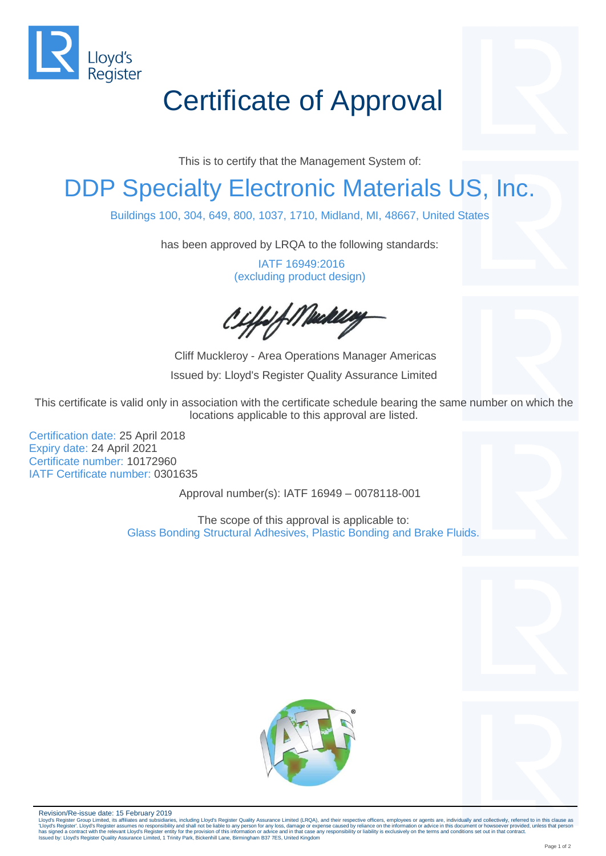

# Certificate of Approval

This is to certify that the Management System of:

### DDP Specialty Electronic Materials US, Inc.

Buildings 100, 304, 649, 800, 1037, 1710, Midland, MI, 48667, United States

has been approved by LRQA to the following standards:

IATF 16949:2016 (excluding product design)

iffelf Mackley

Cliff Muckleroy - Area Operations Manager Americas Issued by: Lloyd's Register Quality Assurance Limited

This certificate is valid only in association with the certificate schedule bearing the same number on which the locations applicable to this approval are listed.

Certification date: 25 April 2018 Expiry date: 24 April 2021 Certificate number: 10172960 IATF Certificate number: 0301635

Approval number(s): IATF 16949 – 0078118-001

The scope of this approval is applicable to: Glass Bonding Structural Adhesives, Plastic Bonding and Brake Fluids.





Revision/Re-issue date: 15 February 2019

Lloyd's Register Group Limited, its affiliates and subsidiaries, including Lloyd's Register Quality Assurance Limited (LRQA), and their respective officers, employees or agents are, individually and collectively, referred